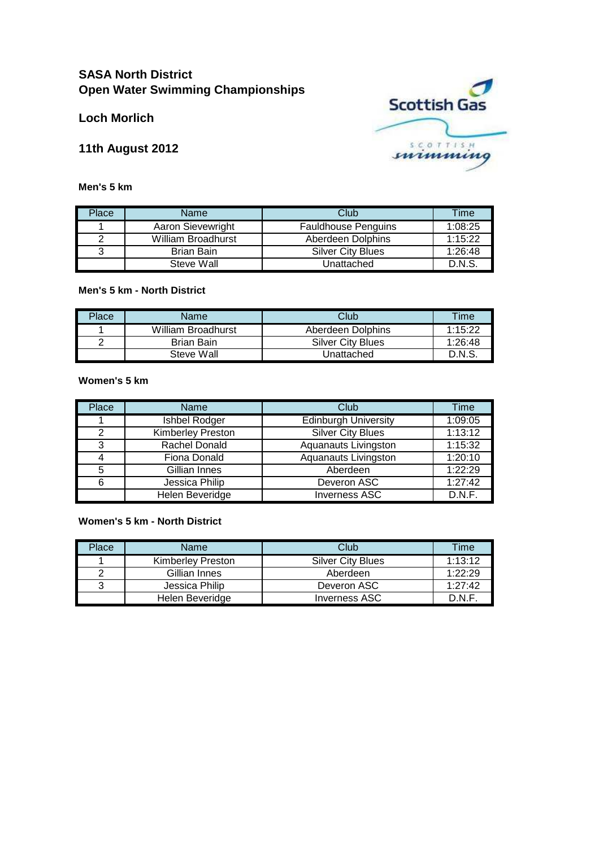# **SASA North District Open Water Swimming Championships**

**Loch Morlich**

**11th August 2012**

**Men's 5 km**

|  | <b>Scottish Gas</b> |  |
|--|---------------------|--|
|  |                     |  |
|  | mimming             |  |

| Place | Name                      | Club                       | Time    |
|-------|---------------------------|----------------------------|---------|
|       | Aaron Sievewright         | <b>Fauldhouse Penguins</b> | 1:08:25 |
|       | <b>William Broadhurst</b> | Aberdeen Dolphins          | 1:15:22 |
| 3     | Brian Bain                | <b>Silver City Blues</b>   | 1:26:48 |
|       | Steve Wall                | Unattached                 | D.N.S.  |

### **Men's 5 km - North District**

| Place | Name               | Club                     | Time    |
|-------|--------------------|--------------------------|---------|
|       | William Broadhurst | Aberdeen Dolphins        | 1:15:22 |
|       | Brian Bain         | <b>Silver City Blues</b> | 1:26:48 |
|       | Steve Wall         | Unattached               | D.N.S   |

# **Women's 5 km**

| Place | Name              | Club                        | Time    |
|-------|-------------------|-----------------------------|---------|
|       | Ishbel Rodger     | <b>Edinburgh University</b> | 1:09:05 |
| 2     | Kimberley Preston | Silver City Blues           | 1:13:12 |
| 3     | Rachel Donald     | Aquanauts Livingston        | 1:15:32 |
| 4     | Fiona Donald      | Aquanauts Livingston        | 1:20:10 |
| 5     | Gillian Innes     | Aberdeen                    | 1:22:29 |
| 6     | Jessica Philip    | Deveron ASC                 | 1:27:42 |
|       | Helen Beveridge   | <b>Inverness ASC</b>        | D.N.F.  |

### **Women's 5 km - North District**

| Place | Name              | Club                     | Time    |
|-------|-------------------|--------------------------|---------|
|       | Kimberley Preston | <b>Silver City Blues</b> | 1:13:12 |
| ⌒     | Gillian Innes     | Aberdeen                 | 1:22:29 |
| ว     | Jessica Philip    | Deveron ASC              | 1:27:42 |
|       | Helen Beveridge   | Inverness ASC            | D.N.F   |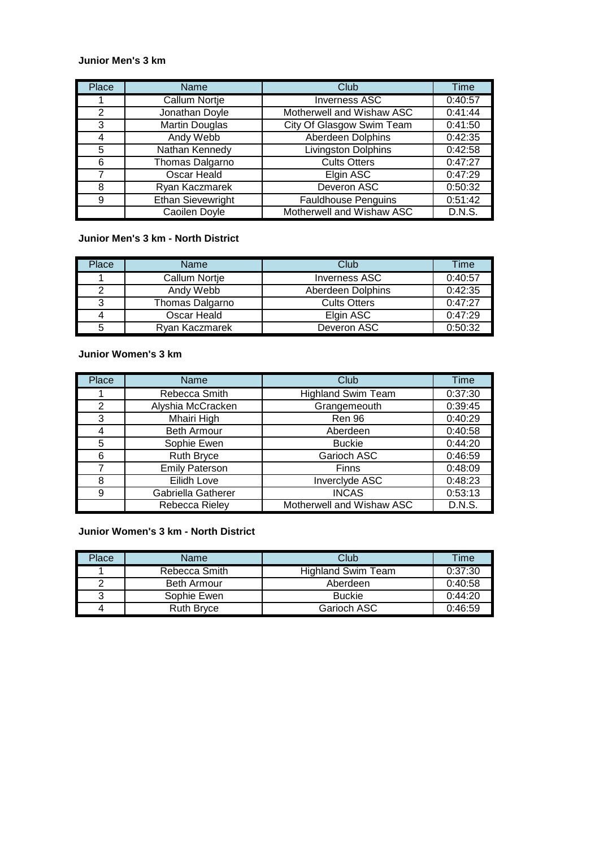#### **Junior Men's 3 km**

| Place          | Name                     | Club                       | Time    |
|----------------|--------------------------|----------------------------|---------|
|                | <b>Callum Nortje</b>     | <b>Inverness ASC</b>       | 0:40:57 |
| $\overline{2}$ | Jonathan Doyle           | Motherwell and Wishaw ASC  | 0:41:44 |
| 3              | Martin Douglas           | City Of Glasgow Swim Team  | 0:41:50 |
| 4              | Andy Webb                | Aberdeen Dolphins          | 0:42:35 |
| 5              | Nathan Kennedy           | Livingston Dolphins        | 0:42:58 |
| 6              | Thomas Dalgarno          | <b>Cults Otters</b>        | 0:47:27 |
| 7              | Oscar Heald              | Elgin ASC                  | 0:47:29 |
| 8              | Ryan Kaczmarek           | Deveron ASC                | 0:50:32 |
| 9              | <b>Ethan Sievewright</b> | <b>Fauldhouse Penguins</b> | 0:51:42 |
|                | <b>Caoilen Doyle</b>     | Motherwell and Wishaw ASC  | D.N.S.  |

# **Junior Men's 3 km - North District**

| Place | <b>Name</b>     | Club                | Time    |
|-------|-----------------|---------------------|---------|
|       | Callum Nortje   | Inverness ASC       | 0:40:57 |
| າ     | Andy Webb       | Aberdeen Dolphins   | 0:42:35 |
| 3     | Thomas Dalgarno | <b>Cults Otters</b> | 0:47:27 |
| 4     | Oscar Heald     | Elgin ASC           | 0:47:29 |
| 5     | Rvan Kaczmarek  | Deveron ASC         | 0:50:32 |

#### **Junior Women's 3 km**

| Place          | <b>Name</b>           | Club                      | Time    |
|----------------|-----------------------|---------------------------|---------|
|                | Rebecca Smith         | <b>Highland Swim Team</b> | 0:37:30 |
| $\overline{2}$ | Alyshia McCracken     | Grangemeouth              | 0:39:45 |
| 3              | Mhairi High           | Ren 96                    | 0:40:29 |
| 4              | <b>Beth Armour</b>    | Aberdeen                  | 0:40:58 |
| 5              | Sophie Ewen           | <b>Buckie</b>             | 0:44:20 |
| 6              | <b>Ruth Bryce</b>     | Garioch ASC               | 0:46:59 |
| 7              | <b>Emily Paterson</b> | Finns                     | 0:48:09 |
| 8              | Eilidh Love           | Inverclyde ASC            | 0:48:23 |
| 9              | Gabriella Gatherer    | <b>INCAS</b>              | 0:53:13 |
|                | Rebecca Rieley        | Motherwell and Wishaw ASC | D.N.S.  |

**Junior Women's 3 km - North District**

| Place | <b>Name</b>        | Club                      | Time    |
|-------|--------------------|---------------------------|---------|
|       | Rebecca Smith      | <b>Highland Swim Team</b> | 0:37:30 |
|       | <b>Beth Armour</b> | Aberdeen                  | 0:40:58 |
| ว     | Sophie Ewen        | <b>Buckie</b>             | 0:44:20 |
| 4     | <b>Ruth Bryce</b>  | <b>Garioch ASC</b>        | 0:46:59 |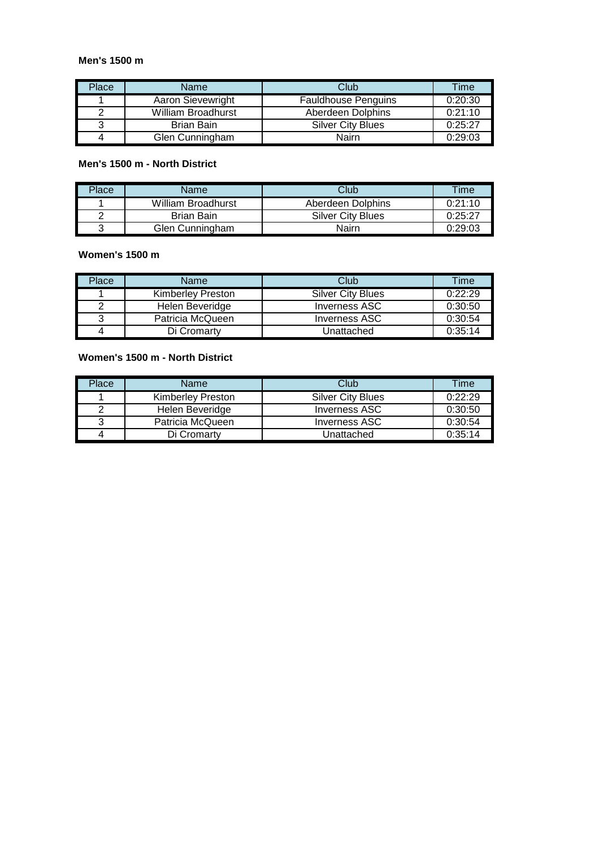#### **Men's 1500 m**

| Place | Name               | Club                       | <b>Time</b> |
|-------|--------------------|----------------------------|-------------|
|       | Aaron Sievewright  | <b>Fauldhouse Penguins</b> | 0:20:30     |
|       | William Broadhurst | Aberdeen Dolphins          | 0:21:10     |
| ว     | Brian Bain         | <b>Silver City Blues</b>   | 0:25:27     |
| 4     | Glen Cunningham    | Nairn                      | 0:29:03     |

# **Men's 1500 m - North District**

| Place | Name               | Club              | Time    |
|-------|--------------------|-------------------|---------|
|       | William Broadhurst | Aberdeen Dolphins | 0:21:10 |
|       | Brian Bain         | Silver City Blues | 0:25:27 |
|       | Glen Cunningham    | Nairn             | 0:29:03 |

### **Women's 1500 m**

| Place | Name              | Club                     | <b>Time</b> |
|-------|-------------------|--------------------------|-------------|
|       | Kimberley Preston | <b>Silver City Blues</b> | 0:22:29     |
|       | Helen Beveridge   | Inverness ASC            | 0:30:50     |
| ว     | Patricia McQueen  | Inverness ASC            | 0:30:54     |
|       | Di Cromarty       | Jnattached               | 0:35:14     |

### **Women's 1500 m - North District**

| Place | Name                     | Club                     | Time    |
|-------|--------------------------|--------------------------|---------|
|       | <b>Kimberley Preston</b> | <b>Silver City Blues</b> | 0:22:29 |
| ⌒     | Helen Beveridge          | Inverness ASC            | 0:30:50 |
| ว     | Patricia McQueen         | Inverness ASC            | 0:30:54 |
| 4     | Di Cromarty              | Unattached               | 0:35:14 |